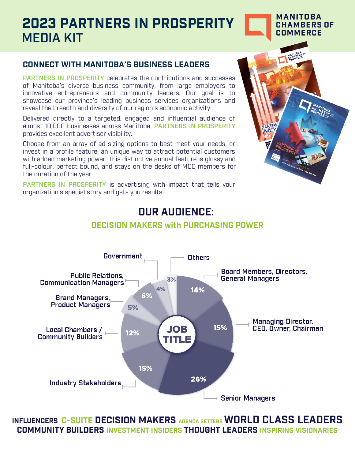# **2023 PARTNERS IN PROSPERITY**  MEDIA KIT

#### **MANITOBA CHAMBERS OF COMMERCE**

### **CONNECT WITH MANITOBA'S BUSINESS LEADERS**

PARTNERS IN PROSPERITY celebrates the contributions and successes of Manitoba's diverse business community, from large employers to innovative entrepreneurs and community leaders. Our goal is to showcase our province's leading business services organizations and reveal the breadth and diversity of our region's economic activity.

Delivered directly to a targeted, engaged and influential audience of almost 10,000 businesses across Manitoba, PARTNERS IN PROSPERITY provides excellent advertiser visibility.

Choose from an array of ad sizing options to best meet your needs, or invest in a profile feature, an unique way to attract potential customers with added marketing power. This distinctive annual feature is glossy and full-colour, perfect bound, and stays on the desks of MCC members for the duration of the year.

**PARTNERS IN PROSPERITY** is advertising with impact that tells your organization's special story and gets you results.



## **OUR AUDIENCE:**



#### **DECISION MAKERS with PURCHASING POWER**

**INFLUENCERS C-SUITE DECISION MAKERS AGENDA SETTERS WORLD CLASS LEADERS COMMUNITY BUILDERS INVESTMENT INSIDERS THOUGHT LEADERS INSPIRING VISIONARIES**